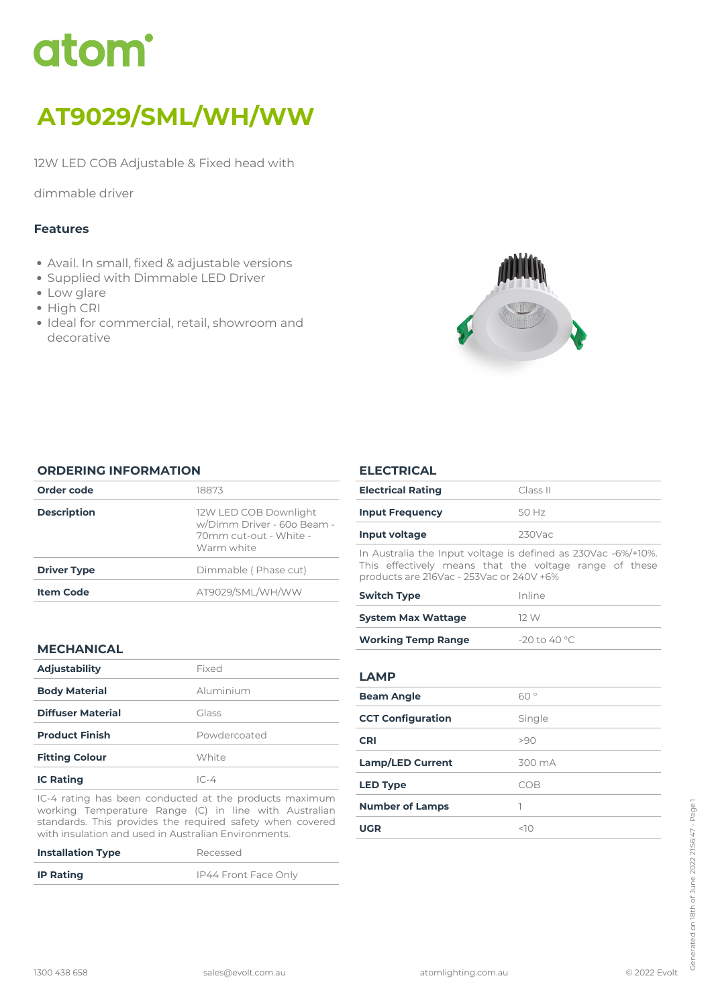# atom<sup>\*</sup>

# *AT9029/SML/WH/WW*

*12W LED COB Adjustable & Fixed head with*

*dimmable driver*

# *Features*

- *Avail. In small, fixed & adjustable versions*
- *Supplied with Dimmable LED Driver*
- *Low glare*
- *High CRI*
- *Ideal for commercial, retail, showroom and decorative*



#### *ORDERING INFORMATION*

| Order code         | 18873                                                                                       |
|--------------------|---------------------------------------------------------------------------------------------|
| <b>Description</b> | 12W LED COB Downlight<br>w/Dimm Driver - 60o Beam -<br>70mm cut-out - White -<br>Warm white |
| <b>Driver Type</b> | Dimmable (Phase cut)                                                                        |
| <b>Item Code</b>   | AT9029/SML/WH/WW                                                                            |
|                    |                                                                                             |

# *MECHANICAL*

| <b>Adjustability</b>     | Fixed        |
|--------------------------|--------------|
| <b>Body Material</b>     | Aluminium    |
| <b>Diffuser Material</b> | Glass        |
| <b>Product Finish</b>    | Powdercoated |
| <b>Fitting Colour</b>    | White        |
| <b>IC Rating</b>         | $IC-4$       |

*IC-4 rating has been conducted at the products maximum working Temperature Range (C) in line with Australian standards. This provides the required safety when covered with insulation and used in Australian Environments.*

| <b>Installation Type</b> | Recessed             |  |  |
|--------------------------|----------------------|--|--|
| <b>IP Rating</b>         | IP44 Front Face Only |  |  |

# *ELECTRICAL*

| <b>Electrical Rating</b>                                                                                                                                            | Class II       |  |  |  |
|---------------------------------------------------------------------------------------------------------------------------------------------------------------------|----------------|--|--|--|
| <b>Input Frequency</b>                                                                                                                                              | 50 Hz          |  |  |  |
| Input voltage                                                                                                                                                       | $230$ Vac      |  |  |  |
| In Australia the Input voltage is defined as 230Vac -6%/+10%.<br>This effectively means that the voltage range of these<br>products are 216Vac - 253Vac or 240V +6% |                |  |  |  |
| <b>Switch Type</b>                                                                                                                                                  | Inline         |  |  |  |
| <b>System Max Wattage</b>                                                                                                                                           | 12 W           |  |  |  |
| <b>Working Temp Range</b>                                                                                                                                           | $-20$ to 40 °C |  |  |  |
| LAMP                                                                                                                                                                |                |  |  |  |
| <b>Beam Angle</b>                                                                                                                                                   | 60°            |  |  |  |
|                                                                                                                                                                     |                |  |  |  |

| <b>CCT Configuration</b> | Single |
|--------------------------|--------|
| <b>CRI</b>               | >90    |
| <b>Lamp/LED Current</b>  | 300 mA |
| <b>LED Type</b>          | COB    |
| <b>Number of Lamps</b>   |        |
| <b>UGR</b>               | <1∩    |